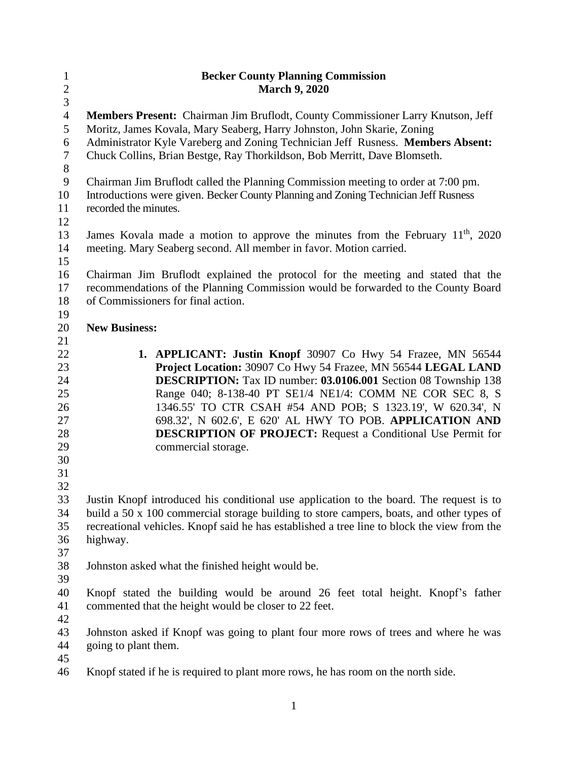| $\mathbf{1}$   | <b>Becker County Planning Commission</b>                                                                                        |
|----------------|---------------------------------------------------------------------------------------------------------------------------------|
| $\overline{c}$ | <b>March 9, 2020</b>                                                                                                            |
| $\overline{3}$ |                                                                                                                                 |
| $\overline{4}$ | Members Present: Chairman Jim Bruflodt, County Commissioner Larry Knutson, Jeff                                                 |
| 5              | Moritz, James Kovala, Mary Seaberg, Harry Johnston, John Skarie, Zoning                                                         |
| 6              | Administrator Kyle Vareberg and Zoning Technician Jeff Rusness. Members Absent:                                                 |
| $\tau$         | Chuck Collins, Brian Bestge, Ray Thorkildson, Bob Merritt, Dave Blomseth.                                                       |
| $8\,$          |                                                                                                                                 |
| $\mathbf{9}$   | Chairman Jim Bruflodt called the Planning Commission meeting to order at 7:00 pm.                                               |
| 10             | Introductions were given. Becker County Planning and Zoning Technician Jeff Rusness                                             |
| 11             | recorded the minutes.                                                                                                           |
| 12             |                                                                                                                                 |
| 13             | James Kovala made a motion to approve the minutes from the February 11 <sup>th</sup> , 2020                                     |
| 14             | meeting. Mary Seaberg second. All member in favor. Motion carried.                                                              |
| 15             |                                                                                                                                 |
| 16             | Chairman Jim Bruflodt explained the protocol for the meeting and stated that the                                                |
| 17             | recommendations of the Planning Commission would be forwarded to the County Board                                               |
| 18             | of Commissioners for final action.                                                                                              |
| 19             |                                                                                                                                 |
| 20             | <b>New Business:</b>                                                                                                            |
| 21             |                                                                                                                                 |
| 22             | 1. APPLICANT: Justin Knopf 30907 Co Hwy 54 Frazee, MN 56544                                                                     |
| 23             | Project Location: 30907 Co Hwy 54 Frazee, MN 56544 LEGAL LAND                                                                   |
| 24             | DESCRIPTION: Tax ID number: 03.0106.001 Section 08 Township 138                                                                 |
| 25             | Range 040; 8-138-40 PT SE1/4 NE1/4: COMM NE COR SEC 8, S                                                                        |
| 26<br>27       | 1346.55' TO CTR CSAH #54 AND POB; S 1323.19', W 620.34', N                                                                      |
| 28             | 698.32', N 602.6', E 620' AL HWY TO POB. APPLICATION AND<br><b>DESCRIPTION OF PROJECT:</b> Request a Conditional Use Permit for |
| 29             | commercial storage.                                                                                                             |
| 30             |                                                                                                                                 |
| 31             |                                                                                                                                 |
| 32             |                                                                                                                                 |
| 33             | Justin Knopf introduced his conditional use application to the board. The request is to                                         |
| 34             | build a 50 x 100 commercial storage building to store campers, boats, and other types of                                        |
| 35             | recreational vehicles. Knopf said he has established a tree line to block the view from the                                     |
| 36             | highway.                                                                                                                        |
| 37             |                                                                                                                                 |
| 38             | Johnston asked what the finished height would be.                                                                               |
| 39             |                                                                                                                                 |
| 40             | Knopf stated the building would be around 26 feet total height. Knopf's father                                                  |
| 41             | commented that the height would be closer to 22 feet.                                                                           |
| 42             |                                                                                                                                 |
| 43             | Johnston asked if Knopf was going to plant four more rows of trees and where he was                                             |
| 44             | going to plant them.                                                                                                            |
| 45             |                                                                                                                                 |
| 46             | Knopf stated if he is required to plant more rows, he has room on the north side.                                               |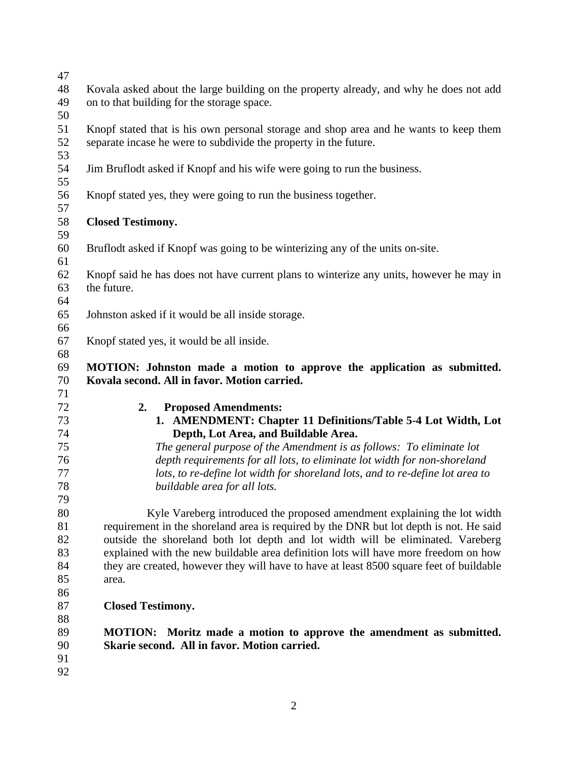| 47 |                                                                                         |
|----|-----------------------------------------------------------------------------------------|
| 48 | Kovala asked about the large building on the property already, and why he does not add  |
| 49 | on to that building for the storage space.                                              |
| 50 |                                                                                         |
| 51 |                                                                                         |
|    | Knopf stated that is his own personal storage and shop area and he wants to keep them   |
| 52 | separate incase he were to subdivide the property in the future.                        |
| 53 |                                                                                         |
| 54 | Jim Bruflodt asked if Knopf and his wife were going to run the business.                |
| 55 |                                                                                         |
| 56 | Knopf stated yes, they were going to run the business together.                         |
| 57 |                                                                                         |
| 58 | <b>Closed Testimony.</b>                                                                |
| 59 |                                                                                         |
| 60 | Bruflodt asked if Knopf was going to be winterizing any of the units on-site.           |
| 61 |                                                                                         |
| 62 | Knopf said he has does not have current plans to winterize any units, however he may in |
| 63 | the future.                                                                             |
| 64 |                                                                                         |
| 65 | Johnston asked if it would be all inside storage.                                       |
| 66 |                                                                                         |
| 67 | Knopf stated yes, it would be all inside.                                               |
| 68 |                                                                                         |
| 69 | MOTION: Johnston made a motion to approve the application as submitted.                 |
| 70 | Kovala second. All in favor. Motion carried.                                            |
| 71 |                                                                                         |
| 72 | 2.                                                                                      |
|    | <b>Proposed Amendments:</b>                                                             |
| 73 | 1. AMENDMENT: Chapter 11 Definitions/Table 5-4 Lot Width, Lot                           |
| 74 | Depth, Lot Area, and Buildable Area.                                                    |
| 75 | The general purpose of the Amendment is as follows: To eliminate lot                    |
| 76 | depth requirements for all lots, to eliminate lot width for non-shoreland               |
| 77 | lots, to re-define lot width for shoreland lots, and to re-define lot area to           |
| 78 | buildable area for all lots.                                                            |
| 79 |                                                                                         |
| 80 | Kyle Vareberg introduced the proposed amendment explaining the lot width                |
| 81 | requirement in the shoreland area is required by the DNR but lot depth is not. He said  |
| 82 | outside the shoreland both lot depth and lot width will be eliminated. Vareberg         |
| 83 | explained with the new buildable area definition lots will have more freedom on how     |
| 84 | they are created, however they will have to have at least 8500 square feet of buildable |
| 85 | area.                                                                                   |
| 86 |                                                                                         |
| 87 | <b>Closed Testimony.</b>                                                                |
| 88 |                                                                                         |
| 89 | MOTION: Moritz made a motion to approve the amendment as submitted.                     |
| 90 | Skarie second. All in favor. Motion carried.                                            |
| 91 |                                                                                         |
| 92 |                                                                                         |
|    |                                                                                         |